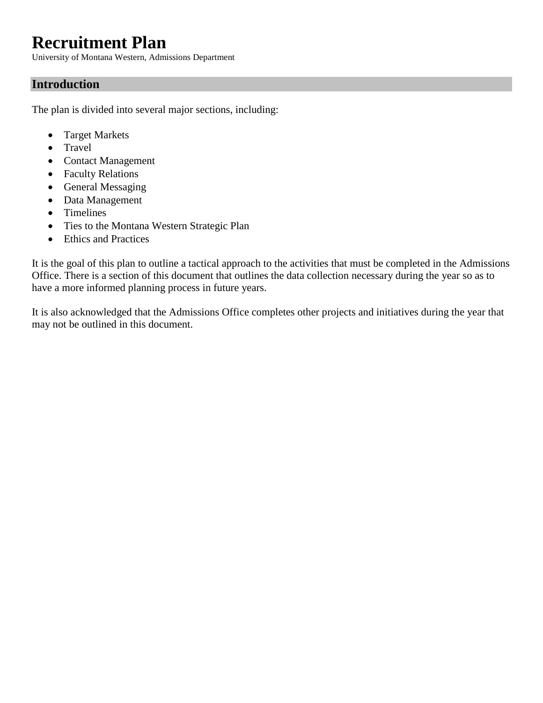# **Recruitment Plan**

University of Montana Western, Admissions Department

# **Introduction**

The plan is divided into several major sections, including:

- Target Markets
- Travel
- Contact Management
- Faculty Relations
- General Messaging
- Data Management
- Timelines
- Ties to the Montana Western Strategic Plan
- Ethics and Practices

It is the goal of this plan to outline a tactical approach to the activities that must be completed in the Admissions Office. There is a section of this document that outlines the data collection necessary during the year so as to have a more informed planning process in future years.

It is also acknowledged that the Admissions Office completes other projects and initiatives during the year that may not be outlined in this document.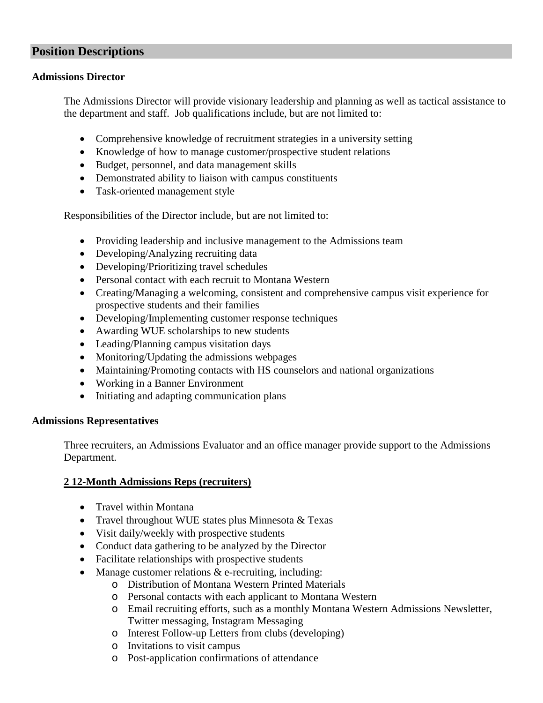# **Position Descriptions**

### **Admissions Director**

The Admissions Director will provide visionary leadership and planning as well as tactical assistance to the department and staff. Job qualifications include, but are not limited to:

- Comprehensive knowledge of recruitment strategies in a university setting
- Knowledge of how to manage customer/prospective student relations
- Budget, personnel, and data management skills
- Demonstrated ability to liaison with campus constituents
- Task-oriented management style

Responsibilities of the Director include, but are not limited to:

- Providing leadership and inclusive management to the Admissions team
- Developing/Analyzing recruiting data
- Developing/Prioritizing travel schedules
- Personal contact with each recruit to Montana Western
- Creating/Managing a welcoming, consistent and comprehensive campus visit experience for prospective students and their families
- Developing/Implementing customer response techniques
- Awarding WUE scholarships to new students
- Leading/Planning campus visitation days
- Monitoring/Updating the admissions webpages
- Maintaining/Promoting contacts with HS counselors and national organizations
- Working in a Banner Environment
- Initiating and adapting communication plans

# **Admissions Representatives**

Three recruiters, an Admissions Evaluator and an office manager provide support to the Admissions Department.

# **2 12-Month Admissions Reps (recruiters)**

- Travel within Montana
- Travel throughout WUE states plus Minnesota & Texas
- Visit daily/weekly with prospective students
- Conduct data gathering to be analyzed by the Director
- Facilitate relationships with prospective students
- Manage customer relations  $&$  e-recruiting, including:
	- o Distribution of Montana Western Printed Materials
	- o Personal contacts with each applicant to Montana Western
		- o Email recruiting efforts, such as a monthly Montana Western Admissions Newsletter, Twitter messaging, Instagram Messaging
		- o Interest Follow-up Letters from clubs (developing)
		- o Invitations to visit campus
		- o Post-application confirmations of attendance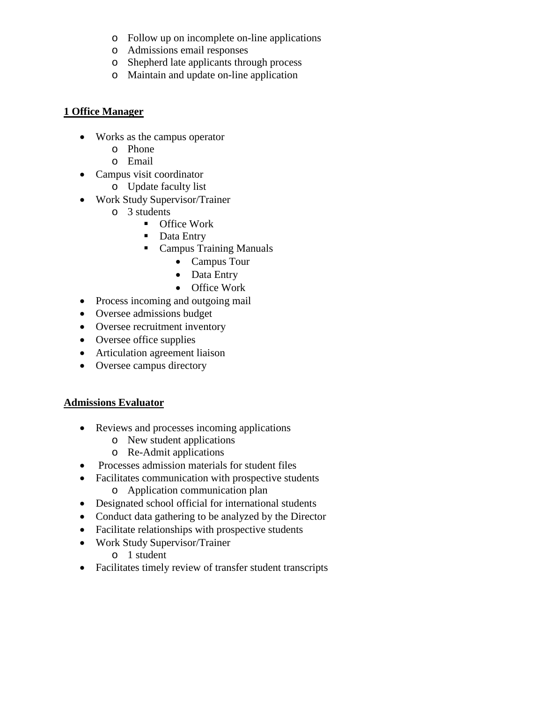- o Follow up on incomplete on-line applications
- o Admissions email responses
- o Shepherd late applicants through process
- o Maintain and update on-line application

### **1 Office Manager**

- Works as the campus operator
	- o Phone
	- o Email
- Campus visit coordinator
	- o Update faculty list
- Work Study Supervisor/Trainer
	- o 3 students
		- **Office Work**
		- Data Entry
		- Campus Training Manuals
			- Campus Tour
			- Data Entry
			- Office Work
- Process incoming and outgoing mail
- Oversee admissions budget
- Oversee recruitment inventory
- Oversee office supplies
- Articulation agreement liaison
- Oversee campus directory

# **Admissions Evaluator**

- Reviews and processes incoming applications
	- o New student applications
	- o Re-Admit applications
- Processes admission materials for student files
- Facilitates communication with prospective students
	- o Application communication plan
- Designated school official for international students
- Conduct data gathering to be analyzed by the Director
- Facilitate relationships with prospective students
- Work Study Supervisor/Trainer
	- o 1 student
- Facilitates timely review of transfer student transcripts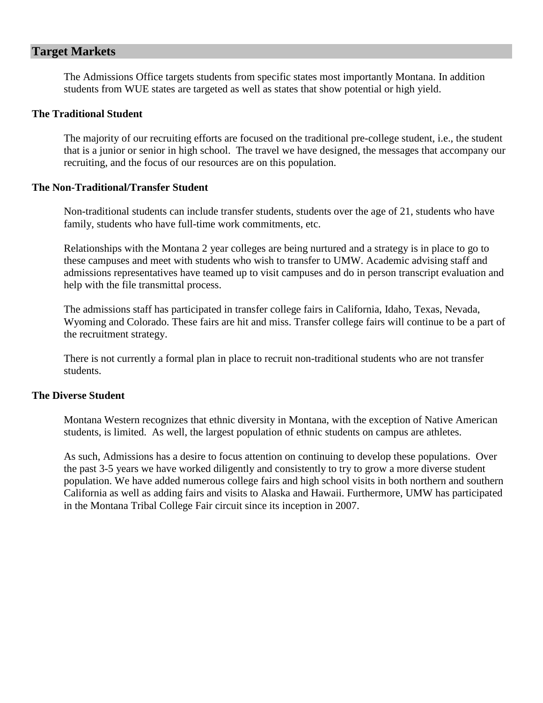# **Target Markets**

The Admissions Office targets students from specific states most importantly Montana. In addition students from WUE states are targeted as well as states that show potential or high yield.

### **The Traditional Student**

The majority of our recruiting efforts are focused on the traditional pre-college student, i.e., the student that is a junior or senior in high school. The travel we have designed, the messages that accompany our recruiting, and the focus of our resources are on this population.

#### **The Non-Traditional/Transfer Student**

Non-traditional students can include transfer students, students over the age of 21, students who have family, students who have full-time work commitments, etc.

Relationships with the Montana 2 year colleges are being nurtured and a strategy is in place to go to these campuses and meet with students who wish to transfer to UMW. Academic advising staff and admissions representatives have teamed up to visit campuses and do in person transcript evaluation and help with the file transmittal process.

The admissions staff has participated in transfer college fairs in California, Idaho, Texas, Nevada, Wyoming and Colorado. These fairs are hit and miss. Transfer college fairs will continue to be a part of the recruitment strategy.

There is not currently a formal plan in place to recruit non-traditional students who are not transfer students.

#### **The Diverse Student**

Montana Western recognizes that ethnic diversity in Montana, with the exception of Native American students, is limited. As well, the largest population of ethnic students on campus are athletes.

As such, Admissions has a desire to focus attention on continuing to develop these populations. Over the past 3-5 years we have worked diligently and consistently to try to grow a more diverse student population. We have added numerous college fairs and high school visits in both northern and southern California as well as adding fairs and visits to Alaska and Hawaii. Furthermore, UMW has participated in the Montana Tribal College Fair circuit since its inception in 2007.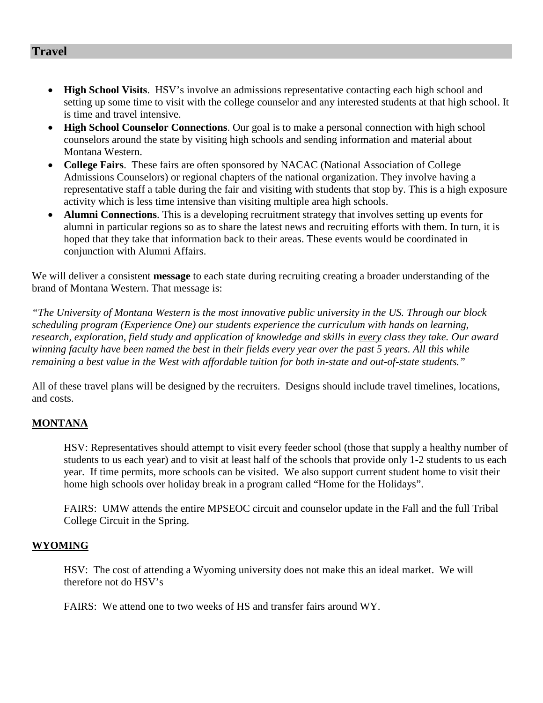# **Travel**

- **High School Visits**. HSV's involve an admissions representative contacting each high school and setting up some time to visit with the college counselor and any interested students at that high school. It is time and travel intensive.
- **High School Counselor Connections**. Our goal is to make a personal connection with high school counselors around the state by visiting high schools and sending information and material about Montana Western.
- **College Fairs**. These fairs are often sponsored by NACAC (National Association of College Admissions Counselors) or regional chapters of the national organization. They involve having a representative staff a table during the fair and visiting with students that stop by. This is a high exposure activity which is less time intensive than visiting multiple area high schools.
- **Alumni Connections**. This is a developing recruitment strategy that involves setting up events for alumni in particular regions so as to share the latest news and recruiting efforts with them. In turn, it is hoped that they take that information back to their areas. These events would be coordinated in conjunction with Alumni Affairs.

We will deliver a consistent **message** to each state during recruiting creating a broader understanding of the brand of Montana Western. That message is:

*"The University of Montana Western is the most innovative public university in the US. Through our block scheduling program (Experience One) our students experience the curriculum with hands on learning, research, exploration, field study and application of knowledge and skills in every class they take. Our award winning faculty have been named the best in their fields every year over the past 5 years. All this while remaining a best value in the West with affordable tuition for both in-state and out-of-state students."*

All of these travel plans will be designed by the recruiters. Designs should include travel timelines, locations, and costs.

# **MONTANA**

HSV: Representatives should attempt to visit every feeder school (those that supply a healthy number of students to us each year) and to visit at least half of the schools that provide only 1-2 students to us each year. If time permits, more schools can be visited. We also support current student home to visit their home high schools over holiday break in a program called "Home for the Holidays".

FAIRS: UMW attends the entire MPSEOC circuit and counselor update in the Fall and the full Tribal College Circuit in the Spring.

### **WYOMING**

HSV: The cost of attending a Wyoming university does not make this an ideal market. We will therefore not do HSV's

FAIRS: We attend one to two weeks of HS and transfer fairs around WY.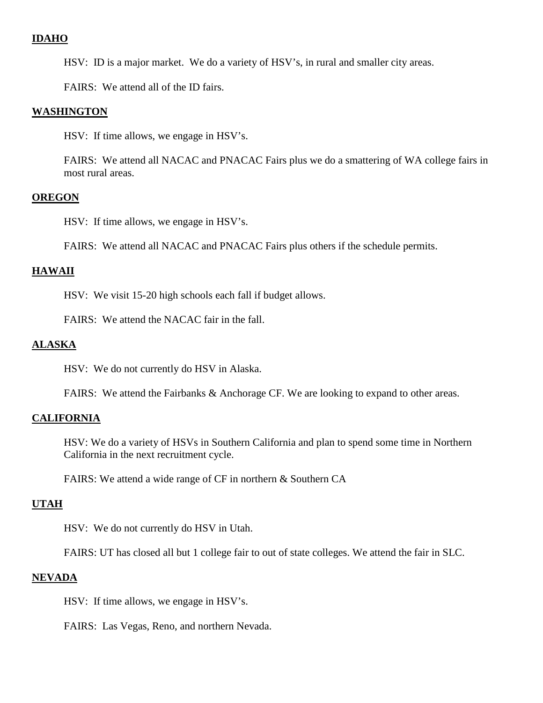# **IDAHO**

HSV: ID is a major market. We do a variety of HSV's, in rural and smaller city areas.

FAIRS: We attend all of the ID fairs.

#### **WASHINGTON**

HSV: If time allows, we engage in HSV's.

FAIRS: We attend all NACAC and PNACAC Fairs plus we do a smattering of WA college fairs in most rural areas.

#### **OREGON**

HSV: If time allows, we engage in HSV's.

FAIRS: We attend all NACAC and PNACAC Fairs plus others if the schedule permits.

### **HAWAII**

HSV: We visit 15-20 high schools each fall if budget allows.

FAIRS: We attend the NACAC fair in the fall.

#### **ALASKA**

HSV: We do not currently do HSV in Alaska.

FAIRS: We attend the Fairbanks & Anchorage CF. We are looking to expand to other areas.

### **CALIFORNIA**

HSV: We do a variety of HSVs in Southern California and plan to spend some time in Northern California in the next recruitment cycle.

FAIRS: We attend a wide range of CF in northern & Southern CA

#### **UTAH**

HSV: We do not currently do HSV in Utah.

FAIRS: UT has closed all but 1 college fair to out of state colleges. We attend the fair in SLC.

#### **NEVADA**

HSV: If time allows, we engage in HSV's.

FAIRS: Las Vegas, Reno, and northern Nevada.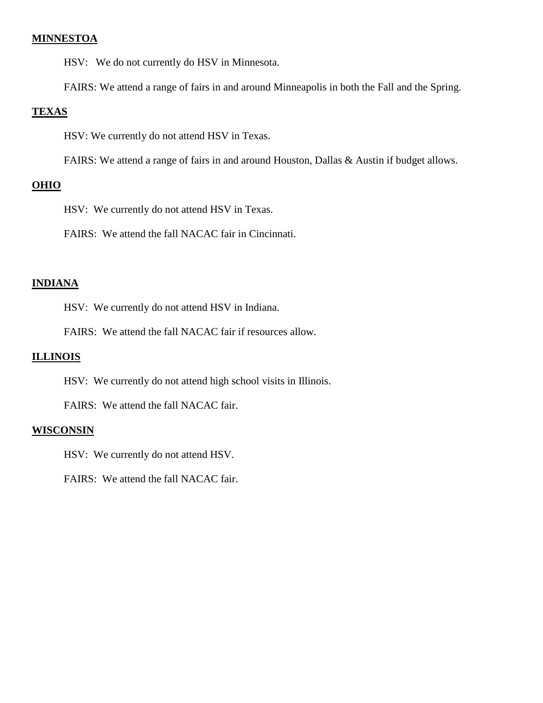### **MINNESTOA**

HSV: We do not currently do HSV in Minnesota.

FAIRS: We attend a range of fairs in and around Minneapolis in both the Fall and the Spring.

### **TEXAS**

HSV: We currently do not attend HSV in Texas.

FAIRS: We attend a range of fairs in and around Houston, Dallas & Austin if budget allows.

### **OHIO**

HSV: We currently do not attend HSV in Texas.

FAIRS: We attend the fall NACAC fair in Cincinnati.

#### **INDIANA**

HSV: We currently do not attend HSV in Indiana.

FAIRS: We attend the fall NACAC fair if resources allow.

#### **ILLINOIS**

HSV: We currently do not attend high school visits in Illinois.

FAIRS: We attend the fall NACAC fair.

#### **WISCONSIN**

HSV: We currently do not attend HSV.

FAIRS: We attend the fall NACAC fair.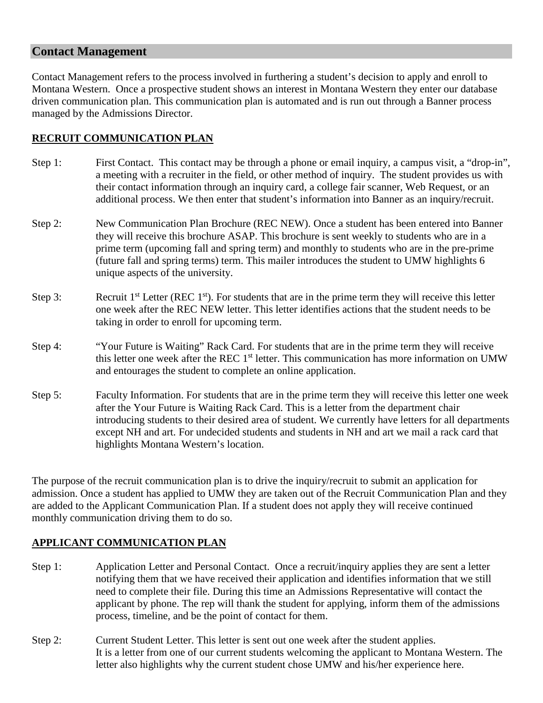# **Contact Management**

Contact Management refers to the process involved in furthering a student's decision to apply and enroll to Montana Western. Once a prospective student shows an interest in Montana Western they enter our database driven communication plan. This communication plan is automated and is run out through a Banner process managed by the Admissions Director.

# **RECRUIT COMMUNICATION PLAN**

- Step 1: First Contact. This contact may be through a phone or email inquiry, a campus visit, a "drop-in", a meeting with a recruiter in the field, or other method of inquiry. The student provides us with their contact information through an inquiry card, a college fair scanner, Web Request, or an additional process. We then enter that student's information into Banner as an inquiry/recruit.
- Step 2: New Communication Plan Brochure (REC NEW). Once a student has been entered into Banner they will receive this brochure ASAP. This brochure is sent weekly to students who are in a prime term (upcoming fall and spring term) and monthly to students who are in the pre-prime (future fall and spring terms) term. This mailer introduces the student to UMW highlights 6 unique aspects of the university.
- Step 3: Recruit  $1<sup>st</sup>$  Letter (REC  $1<sup>st</sup>$ ). For students that are in the prime term they will receive this letter one week after the REC NEW letter. This letter identifies actions that the student needs to be taking in order to enroll for upcoming term.
- Step 4: "Your Future is Waiting" Rack Card. For students that are in the prime term they will receive this letter one week after the REC  $1<sup>st</sup>$  letter. This communication has more information on UMW and entourages the student to complete an online application.
- Step 5: Faculty Information. For students that are in the prime term they will receive this letter one week after the Your Future is Waiting Rack Card. This is a letter from the department chair introducing students to their desired area of student. We currently have letters for all departments except NH and art. For undecided students and students in NH and art we mail a rack card that highlights Montana Western's location.

The purpose of the recruit communication plan is to drive the inquiry/recruit to submit an application for admission. Once a student has applied to UMW they are taken out of the Recruit Communication Plan and they are added to the Applicant Communication Plan. If a student does not apply they will receive continued monthly communication driving them to do so.

# **APPLICANT COMMUNICATION PLAN**

- Step 1: Application Letter and Personal Contact. Once a recruit/inquiry applies they are sent a letter notifying them that we have received their application and identifies information that we still need to complete their file. During this time an Admissions Representative will contact the applicant by phone. The rep will thank the student for applying, inform them of the admissions process, timeline, and be the point of contact for them.
- Step 2: Current Student Letter. This letter is sent out one week after the student applies. It is a letter from one of our current students welcoming the applicant to Montana Western. The letter also highlights why the current student chose UMW and his/her experience here.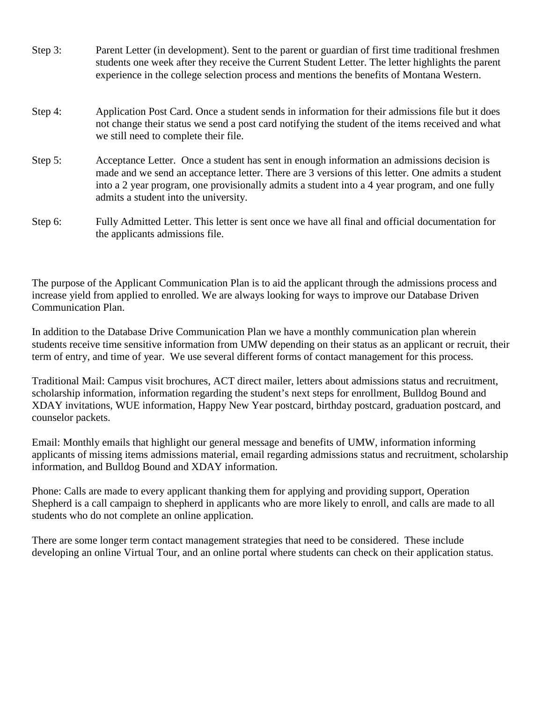| Step $3:$ | Parent Letter (in development). Sent to the parent or guardian of first time traditional freshmen |
|-----------|---------------------------------------------------------------------------------------------------|
|           | students one week after they receive the Current Student Letter. The letter highlights the parent |
|           | experience in the college selection process and mentions the benefits of Montana Western.         |
|           |                                                                                                   |

- Step 4: Application Post Card. Once a student sends in information for their admissions file but it does not change their status we send a post card notifying the student of the items received and what we still need to complete their file.
- Step 5: Acceptance Letter. Once a student has sent in enough information an admissions decision is made and we send an acceptance letter. There are 3 versions of this letter. One admits a student into a 2 year program, one provisionally admits a student into a 4 year program, and one fully admits a student into the university.
- Step 6: Fully Admitted Letter. This letter is sent once we have all final and official documentation for the applicants admissions file.

The purpose of the Applicant Communication Plan is to aid the applicant through the admissions process and increase yield from applied to enrolled. We are always looking for ways to improve our Database Driven Communication Plan.

In addition to the Database Drive Communication Plan we have a monthly communication plan wherein students receive time sensitive information from UMW depending on their status as an applicant or recruit, their term of entry, and time of year. We use several different forms of contact management for this process.

Traditional Mail: Campus visit brochures, ACT direct mailer, letters about admissions status and recruitment, scholarship information, information regarding the student's next steps for enrollment, Bulldog Bound and XDAY invitations, WUE information, Happy New Year postcard, birthday postcard, graduation postcard, and counselor packets.

Email: Monthly emails that highlight our general message and benefits of UMW, information informing applicants of missing items admissions material, email regarding admissions status and recruitment, scholarship information, and Bulldog Bound and XDAY information.

Phone: Calls are made to every applicant thanking them for applying and providing support, Operation Shepherd is a call campaign to shepherd in applicants who are more likely to enroll, and calls are made to all students who do not complete an online application.

There are some longer term contact management strategies that need to be considered. These include developing an online Virtual Tour, and an online portal where students can check on their application status.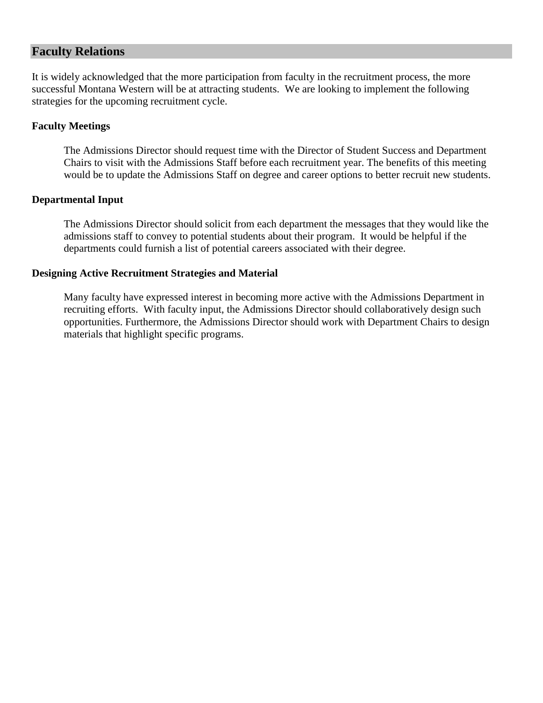# **Faculty Relations**

It is widely acknowledged that the more participation from faculty in the recruitment process, the more successful Montana Western will be at attracting students. We are looking to implement the following strategies for the upcoming recruitment cycle.

### **Faculty Meetings**

The Admissions Director should request time with the Director of Student Success and Department Chairs to visit with the Admissions Staff before each recruitment year. The benefits of this meeting would be to update the Admissions Staff on degree and career options to better recruit new students.

### **Departmental Input**

The Admissions Director should solicit from each department the messages that they would like the admissions staff to convey to potential students about their program. It would be helpful if the departments could furnish a list of potential careers associated with their degree.

### **Designing Active Recruitment Strategies and Material**

Many faculty have expressed interest in becoming more active with the Admissions Department in recruiting efforts. With faculty input, the Admissions Director should collaboratively design such opportunities. Furthermore, the Admissions Director should work with Department Chairs to design materials that highlight specific programs.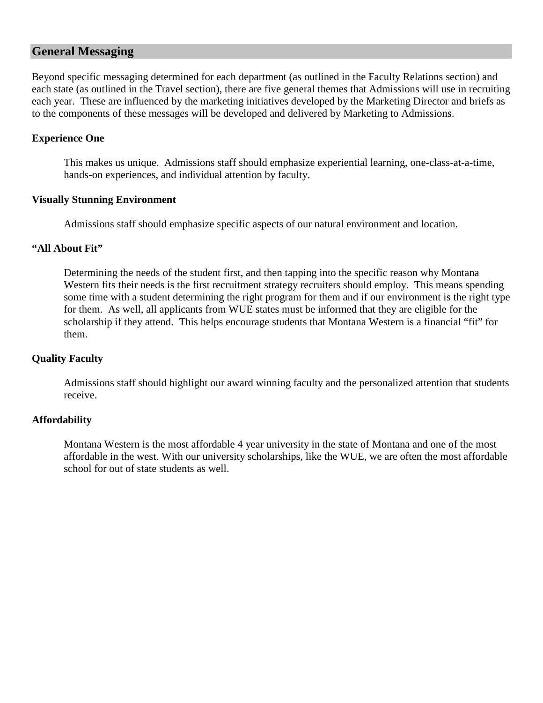# **General Messaging**

Beyond specific messaging determined for each department (as outlined in the Faculty Relations section) and each state (as outlined in the Travel section), there are five general themes that Admissions will use in recruiting each year. These are influenced by the marketing initiatives developed by the Marketing Director and briefs as to the components of these messages will be developed and delivered by Marketing to Admissions.

### **Experience One**

This makes us unique. Admissions staff should emphasize experiential learning, one-class-at-a-time, hands-on experiences, and individual attention by faculty.

### **Visually Stunning Environment**

Admissions staff should emphasize specific aspects of our natural environment and location.

### **"All About Fit"**

Determining the needs of the student first, and then tapping into the specific reason why Montana Western fits their needs is the first recruitment strategy recruiters should employ. This means spending some time with a student determining the right program for them and if our environment is the right type for them. As well, all applicants from WUE states must be informed that they are eligible for the scholarship if they attend. This helps encourage students that Montana Western is a financial "fit" for them.

# **Quality Faculty**

Admissions staff should highlight our award winning faculty and the personalized attention that students receive.

### **Affordability**

Montana Western is the most affordable 4 year university in the state of Montana and one of the most affordable in the west. With our university scholarships, like the WUE, we are often the most affordable school for out of state students as well.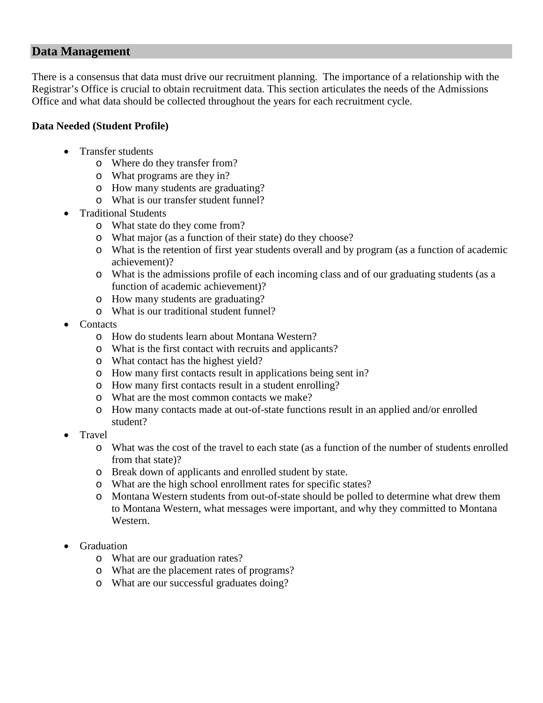# **Data Management**

There is a consensus that data must drive our recruitment planning. The importance of a relationship with the Registrar's Office is crucial to obtain recruitment data. This section articulates the needs of the Admissions Office and what data should be collected throughout the years for each recruitment cycle.

# **Data Needed (Student Profile)**

- Transfer students
	- o Where do they transfer from?
	- o What programs are they in?
	- o How many students are graduating?
	- o What is our transfer student funnel?
- Traditional Students
	- o What state do they come from?
	- o What major (as a function of their state) do they choose?
	- o What is the retention of first year students overall and by program (as a function of academic achievement)?
	- o What is the admissions profile of each incoming class and of our graduating students (as a function of academic achievement)?
	- o How many students are graduating?
	- o What is our traditional student funnel?
- Contacts
	- o How do students learn about Montana Western?
	- o What is the first contact with recruits and applicants?
	- o What contact has the highest yield?
	- o How many first contacts result in applications being sent in?
	- o How many first contacts result in a student enrolling?
	- o What are the most common contacts we make?
	- o How many contacts made at out-of-state functions result in an applied and/or enrolled student?
- Travel
	- o What was the cost of the travel to each state (as a function of the number of students enrolled from that state)?
	- o Break down of applicants and enrolled student by state.
	- o What are the high school enrollment rates for specific states?
	- o Montana Western students from out-of-state should be polled to determine what drew them to Montana Western, what messages were important, and why they committed to Montana Western.
- **Graduation** 
	- o What are our graduation rates?
	- o What are the placement rates of programs?
	- o What are our successful graduates doing?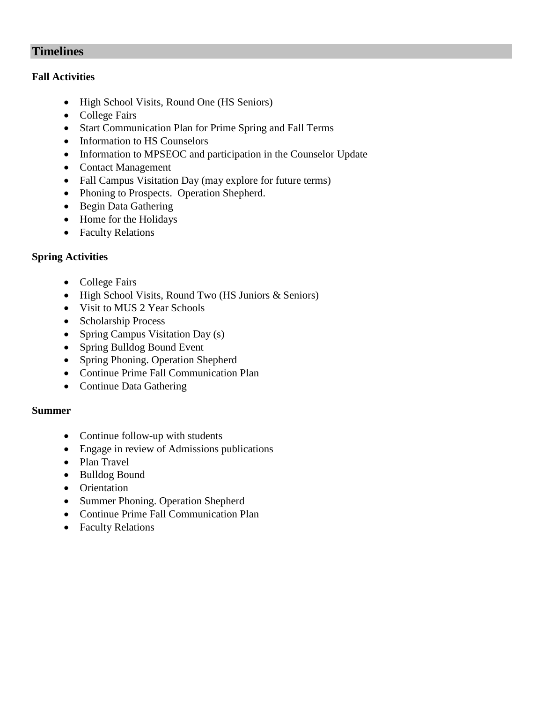# **Timelines**

### **Fall Activities**

- High School Visits, Round One (HS Seniors)
- College Fairs
- Start Communication Plan for Prime Spring and Fall Terms
- Information to HS Counselors
- Information to MPSEOC and participation in the Counselor Update
- Contact Management
- Fall Campus Visitation Day (may explore for future terms)
- Phoning to Prospects. Operation Shepherd.
- Begin Data Gathering
- Home for the Holidays
- Faculty Relations

# **Spring Activities**

- College Fairs
- High School Visits, Round Two (HS Juniors & Seniors)
- Visit to MUS 2 Year Schools
- Scholarship Process
- Spring Campus Visitation Day (s)
- Spring Bulldog Bound Event
- Spring Phoning. Operation Shepherd
- Continue Prime Fall Communication Plan
- Continue Data Gathering

# **Summer**

- Continue follow-up with students
- Engage in review of Admissions publications
- Plan Travel
- Bulldog Bound
- Orientation
- Summer Phoning. Operation Shepherd
- Continue Prime Fall Communication Plan
- Faculty Relations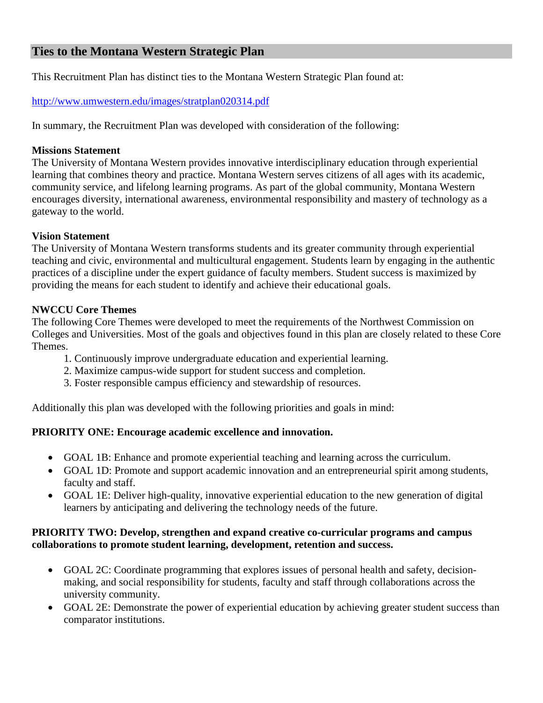# **Ties to the Montana Western Strategic Plan**

This Recruitment Plan has distinct ties to the Montana Western Strategic Plan found at:

<http://www.umwestern.edu/images/stratplan020314.pdf>

In summary, the Recruitment Plan was developed with consideration of the following:

### **Missions Statement**

The University of Montana Western provides innovative interdisciplinary education through experiential learning that combines theory and practice. Montana Western serves citizens of all ages with its academic, community service, and lifelong learning programs. As part of the global community, Montana Western encourages diversity, international awareness, environmental responsibility and mastery of technology as a gateway to the world.

### **Vision Statement**

The University of Montana Western transforms students and its greater community through experiential teaching and civic, environmental and multicultural engagement. Students learn by engaging in the authentic practices of a discipline under the expert guidance of faculty members. Student success is maximized by providing the means for each student to identify and achieve their educational goals.

### **NWCCU Core Themes**

The following Core Themes were developed to meet the requirements of the Northwest Commission on Colleges and Universities. Most of the goals and objectives found in this plan are closely related to these Core Themes.

- 1. Continuously improve undergraduate education and experiential learning.
- 2. Maximize campus-wide support for student success and completion.
- 3. Foster responsible campus efficiency and stewardship of resources.

Additionally this plan was developed with the following priorities and goals in mind:

# **PRIORITY ONE: Encourage academic excellence and innovation.**

- GOAL 1B: Enhance and promote experiential teaching and learning across the curriculum.
- GOAL 1D: Promote and support academic innovation and an entrepreneurial spirit among students, faculty and staff.
- GOAL 1E: Deliver high-quality, innovative experiential education to the new generation of digital learners by anticipating and delivering the technology needs of the future.

# **PRIORITY TWO: Develop, strengthen and expand creative co-curricular programs and campus collaborations to promote student learning, development, retention and success.**

- GOAL 2C: Coordinate programming that explores issues of personal health and safety, decisionmaking, and social responsibility for students, faculty and staff through collaborations across the university community.
- GOAL 2E: Demonstrate the power of experiential education by achieving greater student success than comparator institutions.